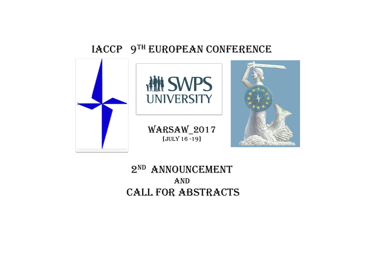# IACCP 9TH EUROPEAN CONFERENCE



## 2nd Announcement And call for Abstracts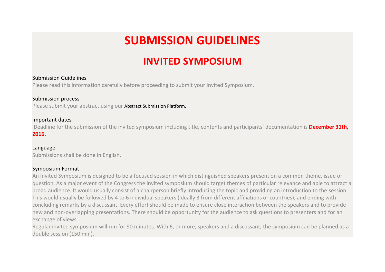# **SUBMISSION GUIDELINES**

# **INVITED SYMPOSIUM**

## Submission Guidelines

Please read this information carefully before proceeding to submit your Invited Symposium.

## Submission process

Please submit your abstract using our Abstract Submission Platform.

## Important dates

Deadline for the submission of the invited symposium including title, contents and participants' documentation is **December 31th, 2016.**

## Language

Submissions shall be done in English.

## Symposium Format

An Invited Symposium is designed to be a focused session in which distinguished speakers present on a common theme, issue or question. As a major event of the Congress the invited symposium should target themes of particular relevance and able to attract a broad audience. It would usually consist of a chairperson briefly introducing the topic and providing an introduction to the session. This would usually be followed by 4 to 6 individual speakers (ideally 3 from different affiliations or countries), and ending with concluding remarks by a discussant. Every effort should be made to ensure close interaction between the speakers and to provide new and non-overlapping presentations. There should be opportunity for the audience to ask questions to presenters and for an exchange of views.

Regular invited symposium will run for 90 minutes. With 6, or more, speakers and a discussant, the symposium can be planned as a double session (150 min).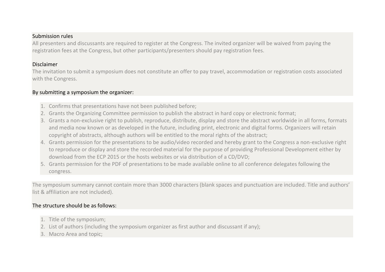## Submission rules

All presenters and discussants are required to register at the Congress. The invited organizer will be waived from paying the registration fees at the Congress, but other participants/presenters should pay registration fees.

## Disclaimer

The invitation to submit a symposium does not constitute an offer to pay travel, accommodation or registration costs associated with the Congress.

## By submitting a symposium the organizer:

- 1. Confirms that presentations have not been published before;
- 2. Grants the Organizing Committee permission to publish the abstract in hard copy or electronic format;
- 3. Grants a non-exclusive right to publish, reproduce, distribute, display and store the abstract worldwide in all forms, formats and media now known or as developed in the future, including print, electronic and digital forms. Organizers will retain copyright of abstracts, although authors will be entitled to the moral rights of the abstract;
- 4. Grants permission for the presentations to be audio/video recorded and hereby grant to the Congress a non-exclusive right to reproduce or display and store the recorded material for the purpose of providing Professional Development either by download from the ECP 2015 or the hosts websites or via distribution of a CD/DVD;
- 5. Grants permission for the PDF of presentations to be made available online to all conference delegates following the congress.

The symposium summary cannot contain more than 3000 characters (blank spaces and punctuation are included. Title and authors' list & affiliation are not included).

## The structure should be as follows:

- 1. Title of the symposium;
- 2. List of authors (including the symposium organizer as first author and discussant if any);
- 3. Macro Area and topic;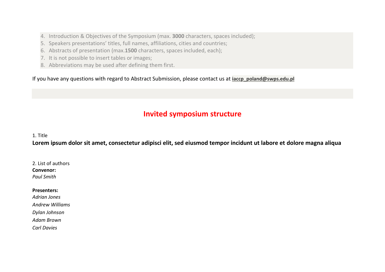- 4. Introduction & Objectives of the Symposium (max. **3000** characters, spaces included);
- 5. Speakers presentations' titles, full names, affiliations, cities and countries;
- 6. Abstracts of presentation (max.**1500** characters, spaces included, each);
- 7. It is not possible to insert tables or images;
- 8. Abbreviations may be used after defining them first.

If you have any questions with regard to Abstract Submission, please contact us at **iaccp** poland@swps.edu.pl

## **Invited symposium structure**

### 1. Title

**Lorem ipsum dolor sit amet, consectetur adipisci elit, sed eiusmod tempor incidunt ut labore et dolore magna aliqua**

2. List of authors **Convenor:** *Paul Smith*

#### **Presenters:**

*Adrian Jones*

*Andrew Williams*

*Dylan Johnson*

*Adam Brown*

*Carl Davies*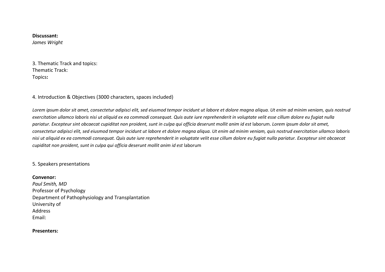#### **Discussant:**

*James Wright*

3. Thematic Track and topics: Thematic Track: Topics**:** 

4. Introduction & Objectives (3000 characters, spaces included)

*Lorem ipsum dolor sit amet, consectetur adipisci elit, sed eiusmod tempor incidunt ut labore et dolore magna aliqua. Ut enim ad minim veniam, quis nostrud exercitation ullamco laboris nisi ut aliquid ex ea commodi consequat. Quis aute iure reprehenderit in voluptate velit esse cillum dolore eu fugiat nulla*  pariatur. Excepteur sint obcaecat cupiditat non proident, sunt in culpa qui officia deserunt mollit anim id est laborum. Lorem ipsum dolor sit amet, *consectetur adipisci elit, sed eiusmod tempor incidunt ut labore et dolore magna aliqua. Ut enim ad minim veniam, quis nostrud exercitation ullamco laboris nisi ut aliquid ex ea commodi consequat. Quis aute iure reprehenderit in voluptate velit esse cillum dolore eu fugiat nulla pariatur. Excepteur sint obcaecat cupiditat non proident, sunt in culpa qui officia deserunt mollit anim id est* laborum

5. Speakers presentations

#### **Convenor:**

*Paul Smith, MD*  Professor of Psychology Department of Pathophysiology and Transplantation University of Address Email:

#### **Presenters:**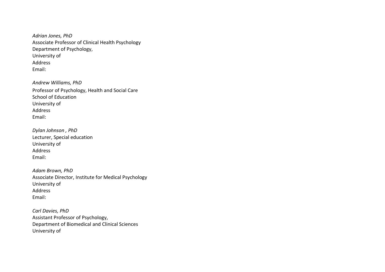*Adrian Jones, PhD* Associate Professor of Clinical Health Psychology Department of Psychology, University of Address Email:

*Andrew Williams, PhD* Professor of Psychology, Health and Social Care School of Education University of Address Email:

*Dylan Johnson , PhD* Lecturer, Special education University of Address Email:

*Adam Brown, PhD* Associate Director, Institute for Medical Psychology University of Address Email:

*Carl Davies, PhD* Assistant Professor of Psychology, Department of Biomedical and Clinical Sciences University of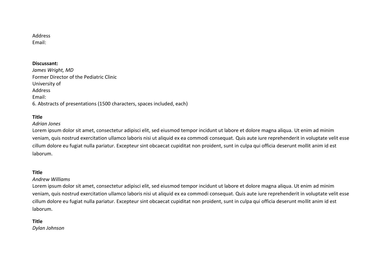#### Address Email:

### **Discussant:**

*James Wright, MD* Former Director of the Pediatric Clinic University of Address Email: 6. Abstracts of presentations (1500 characters, spaces included, each)

## **Title**

#### *Adrian Jones*

Lorem ipsum dolor sit amet, consectetur adipisci elit, sed eiusmod tempor incidunt ut labore et dolore magna aliqua. Ut enim ad minim veniam, quis nostrud exercitation ullamco laboris nisi ut aliquid ex ea commodi consequat. Quis aute iure reprehenderit in voluptate velit esse cillum dolore eu fugiat nulla pariatur. Excepteur sint obcaecat cupiditat non proident, sunt in culpa qui officia deserunt mollit anim id est laborum.

#### **Title**

#### *Andrew Williams*

Lorem ipsum dolor sit amet, consectetur adipisci elit, sed eiusmod tempor incidunt ut labore et dolore magna aliqua. Ut enim ad minim veniam, quis nostrud exercitation ullamco laboris nisi ut aliquid ex ea commodi consequat. Quis aute iure reprehenderit in voluptate velit esse cillum dolore eu fugiat nulla pariatur. Excepteur sint obcaecat cupiditat non proident, sunt in culpa qui officia deserunt mollit anim id est laborum.

#### **Title**

*Dylan Johnson*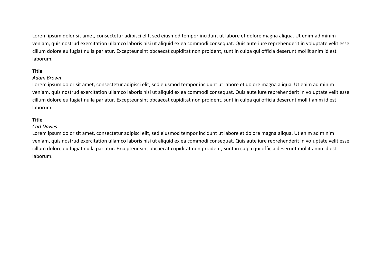Lorem ipsum dolor sit amet, consectetur adipisci elit, sed eiusmod tempor incidunt ut labore et dolore magna aliqua. Ut enim ad minim veniam, quis nostrud exercitation ullamco laboris nisi ut aliquid ex ea commodi consequat. Quis aute iure reprehenderit in voluptate velit esse cillum dolore eu fugiat nulla pariatur. Excepteur sint obcaecat cupiditat non proident, sunt in culpa qui officia deserunt mollit anim id est laborum.

### **Title**

#### *Adam Brown*

Lorem ipsum dolor sit amet, consectetur adipisci elit, sed eiusmod tempor incidunt ut labore et dolore magna aliqua. Ut enim ad minim veniam, quis nostrud exercitation ullamco laboris nisi ut aliquid ex ea commodi consequat. Quis aute iure reprehenderit in voluptate velit esse cillum dolore eu fugiat nulla pariatur. Excepteur sint obcaecat cupiditat non proident, sunt in culpa qui officia deserunt mollit anim id est laborum.

### **Title**

#### *Carl Davies*

Lorem ipsum dolor sit amet, consectetur adipisci elit, sed eiusmod tempor incidunt ut labore et dolore magna aliqua. Ut enim ad minim veniam, quis nostrud exercitation ullamco laboris nisi ut aliquid ex ea commodi consequat. Quis aute iure reprehenderit in voluptate velit esse cillum dolore eu fugiat nulla pariatur. Excepteur sint obcaecat cupiditat non proident, sunt in culpa qui officia deserunt mollit anim id est laborum.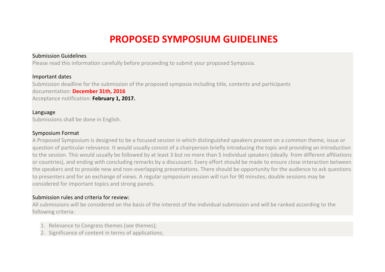## **PROPOSED SYMPOSIUM GUIDELINES**

## Submission Guidelines

Please read this information carefully before proceeding to submit your proposed Symposia.

## Important dates

Submission deadline for the submission of the proposed symposia including title, contents and participants documentation: **December 31th, 2016** Acceptance notification: **February 1, 2017.**

## Language

Submissions shall be done in English.

## Symposium Format

A Proposed Symposium is designed to be a focused session in which distinguished speakers present on a common theme, issue or question of particular relevance. It would usually consist of a chairperson briefly introducing the topic and providing an introduction to the session. This would usually be followed by at least 3 but no more than 5 individual speakers (ideally from different affiliations or countries), and ending with concluding remarks by a discussant. Every effort should be made to ensure close interaction between the speakers and to provide new and non-overlapping presentations. There should be opportunity for the audience to ask questions to presenters and for an exchange of views. A regular symposium session will run for 90 minutes; double sessions may be considered for important topics and strong panels.

## Submission rules and criteria for review:

All submissions will be considered on the basis of the interest of the individual submission and will be ranked according to the following criteria:

- 1. Relevance to Congress themes (see themes);
- 2. Significance of content in terms of applications;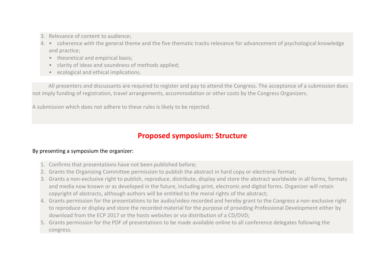- 3. Relevance of content to audience;
- 4. coherence with the general theme and the five thematic tracks relevance for advancement of psychological knowledge and practice;
	- theoretical and empirical basis;
	- clarity of ideas and soundness of methods applied;
	- ecological and ethical implications.

All presenters and discussants are required to register and pay to attend the Congress. The acceptance of a submission does not imply funding of registration, travel arrangements, accommodation or other costs by the Congress Organizers.

A submission which does not adhere to these rules is likely to be rejected.

## **Proposed symposium: Structure**

## By presenting a symposium the organizer:

- 1. Confirms that presentations have not been published before;
- 2. Grants the Organizing Committee permission to publish the abstract in hard copy or electronic format;
- 3. Grants a non-exclusive right to publish, reproduce, distribute, display and store the abstract worldwide in all forms, formats and media now known or as developed in the future, including print, electronic and digital forms. Organizer will retain copyright of abstracts, although authors will be entitled to the moral rights of the abstract;
- 4. Grants permission for the presentations to be audio/video recorded and hereby grant to the Congress a non-exclusive right to reproduce or display and store the recorded material for the purpose of providing Professional Development either by download from the ECP 2017 or the hosts websites or via distribution of a CD/DVD;
- 5. Grants permission for the PDF of presentations to be made available online to all conference delegates following the congress.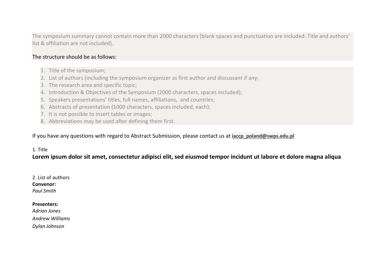The symposium summary cannot contain more than 2000 characters (blank spaces and punctuation are included. Title and authors' list & affiliation are not included).

## The structure should be as follows:

- 1. Title of the symposium;
- 2. List of authors (including the symposium organizer as first author and discussant if any;
- 3. The research area and specific topic;
- 4. Introduction & Objectives of the Symposium (2000 characters, spaces included);
- 5. Speakers presentations' titles, full names, affiliations, and countries;
- 6. Abstracts of presentation (1000 characters, spaces included, each);
- 7. It is not possible to insert tables or images;
- 8. Abbreviations may be used after defining them first.

## If you have any questions with regard to Abstract Submission, please contact us at **jaccp** poland@swps.edu.pl

## 1. Title

**Lorem ipsum dolor sit amet, consectetur adipisci elit, sed eiusmod tempor incidunt ut labore et dolore magna aliqua**

### 2. List of authors **Convenor:** *Paul Smith*

#### **Presenters:**

*Adrian Jones Andrew Williams Dylan Johnson*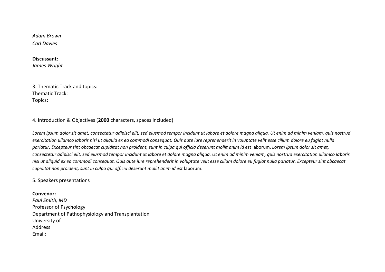*Adam Brown Carl Davies*

#### **Discussant:**

*James Wright*

3. Thematic Track and topics: Thematic Track: Topics**:** 

#### 4. Introduction & Objectives (**2000** characters, spaces included)

*Lorem ipsum dolor sit amet, consectetur adipisci elit, sed eiusmod tempor incidunt ut labore et dolore magna aliqua. Ut enim ad minim veniam, quis nostrud exercitation ullamco laboris nisi ut aliquid ex ea commodi consequat. Quis aute iure reprehenderit in voluptate velit esse cillum dolore eu fugiat nulla pariatur. Excepteur sint obcaecat cupiditat non proident, sunt in culpa qui officia deserunt mollit anim id est* laborum. *Lorem ipsum dolor sit amet, consectetur adipisci elit, sed eiusmod tempor incidunt ut labore et dolore magna aliqua. Ut enim ad minim veniam, quis nostrud exercitation ullamco laboris nisi ut aliquid ex ea commodi consequat. Quis aute iure reprehenderit in voluptate velit esse cillum dolore eu fugiat nulla pariatur. Excepteur sint obcaecat cupiditat non proident, sunt in culpa qui officia deserunt mollit anim id est* laborum.

#### 5. Speakers presentations

#### **Convenor:**

*Paul Smith, MD*  Professor of Psychology Department of Pathophysiology and Transplantation University of Address Email: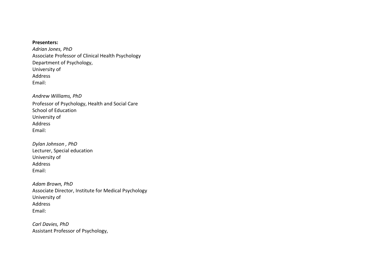**Presenters:**

*Adrian Jones, PhD* Associate Professor of Clinical Health Psychology Department of Psychology, University of Address Email:

*Andrew Williams, PhD* Professor of Psychology, Health and Social Care School of Education University of Address Email:

*Dylan Johnson , PhD* Lecturer, Special education University of Address Email:

*Adam Brown, PhD* Associate Director, Institute for Medical Psychology University of Address Email:

*Carl Davies, PhD* Assistant Professor of Psychology,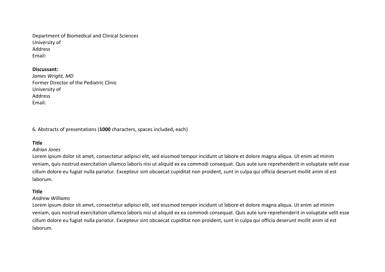Department of Biomedical and Clinical Sciences University of Address Email:

#### **Discussant:**

| James Wright, MD                        |
|-----------------------------------------|
| Former Director of the Pediatric Clinic |
| University of                           |
| Address                                 |
| Email:                                  |

6. Abstracts of presentations (**1000** characters, spaces included, each)

### **Title**

#### *Adrian Jones*

Lorem ipsum dolor sit amet, consectetur adipisci elit, sed eiusmod tempor incidunt ut labore et dolore magna aliqua. Ut enim ad minim veniam, quis nostrud exercitation ullamco laboris nisi ut aliquid ex ea commodi consequat. Quis aute iure reprehenderit in voluptate velit esse cillum dolore eu fugiat nulla pariatur. Excepteur sint obcaecat cupiditat non proident, sunt in culpa qui officia deserunt mollit anim id est laborum.

#### **Title**

#### *Andrew Williams*

Lorem ipsum dolor sit amet, consectetur adipisci elit, sed eiusmod tempor incidunt ut labore et dolore magna aliqua. Ut enim ad minim veniam, quis nostrud exercitation ullamco laboris nisi ut aliquid ex ea commodi consequat. Quis aute iure reprehenderit in voluptate velit esse cillum dolore eu fugiat nulla pariatur. Excepteur sint obcaecat cupiditat non proident, sunt in culpa qui officia deserunt mollit anim id est laborum.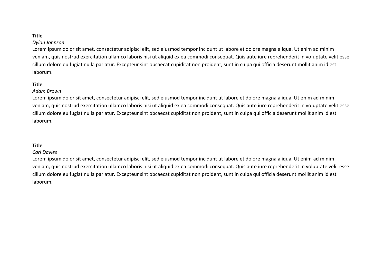### **Title**

#### *Dylan Johnson*

Lorem ipsum dolor sit amet, consectetur adipisci elit, sed eiusmod tempor incidunt ut labore et dolore magna aliqua. Ut enim ad minim veniam, quis nostrud exercitation ullamco laboris nisi ut aliquid ex ea commodi consequat. Quis aute iure reprehenderit in voluptate velit esse cillum dolore eu fugiat nulla pariatur. Excepteur sint obcaecat cupiditat non proident, sunt in culpa qui officia deserunt mollit anim id est laborum.

### **Title**

#### *Adam Brown*

Lorem ipsum dolor sit amet, consectetur adipisci elit, sed eiusmod tempor incidunt ut labore et dolore magna aliqua. Ut enim ad minim veniam, quis nostrud exercitation ullamco laboris nisi ut aliquid ex ea commodi consequat. Quis aute iure reprehenderit in voluptate velit esse cillum dolore eu fugiat nulla pariatur. Excepteur sint obcaecat cupiditat non proident, sunt in culpa qui officia deserunt mollit anim id est laborum.

### **Title**

#### *Carl Davies*

Lorem ipsum dolor sit amet, consectetur adipisci elit, sed eiusmod tempor incidunt ut labore et dolore magna aliqua. Ut enim ad minim veniam, quis nostrud exercitation ullamco laboris nisi ut aliquid ex ea commodi consequat. Quis aute iure reprehenderit in voluptate velit esse cillum dolore eu fugiat nulla pariatur. Excepteur sint obcaecat cupiditat non proident, sunt in culpa qui officia deserunt mollit anim id est laborum.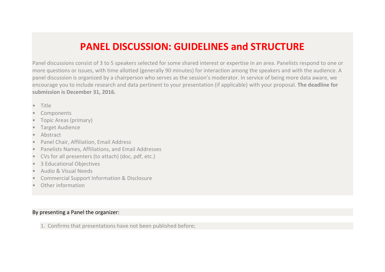## **PANEL DISCUSSION: GUIDELINES and STRUCTURE**

Panel discussions consist of 3 to 5 speakers selected for some shared interest or expertise in an area. Panelists respond to one or more questions or issues, with time allotted (generally 90 minutes) for interaction among the speakers and with the audience. A panel discussion is organized by a chairperson who serves as the session's moderator. In service of being more data aware, we encourage you to include research and data pertinent to your presentation (if applicable) with your proposal. **The deadline for submission is December 31, 2016.**

- Title
- **Components**
- Topic Areas (primary)
- Target Audience
- Abstract
- Panel Chair, Affiliation, Email Address
- Panelists Names, Affiliations, and Email Addresses
- CVs for all presenters (to attach) (doc, pdf, etc.)
- 3 Educational Objectives
- Audio & Visual Needs
- Commercial Support Information & Disclosure
- Other information

## By presenting a Panel the organizer:

1. Confirms that presentations have not been published before;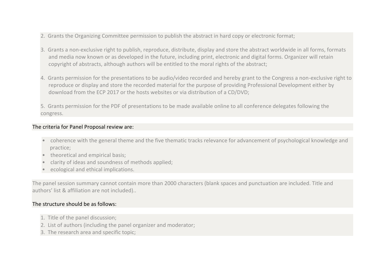- 2. Grants the Organizing Committee permission to publish the abstract in hard copy or electronic format;
- 3. Grants a non-exclusive right to publish, reproduce, distribute, display and store the abstract worldwide in all forms, formats and media now known or as developed in the future, including print, electronic and digital forms. Organizer will retain copyright of abstracts, although authors will be entitled to the moral rights of the abstract;
- 4. Grants permission for the presentations to be audio/video recorded and hereby grant to the Congress a non-exclusive right to reproduce or display and store the recorded material for the purpose of providing Professional Development either by download from the ECP 2017 or the hosts websites or via distribution of a CD/DVD;
- 5. Grants permission for the PDF of presentations to be made available online to all conference delegates following the congress.

## The criteria for Panel Proposal review are:

- coherence with the general theme and the five thematic tracks relevance for advancement of psychological knowledge and practice;
- theoretical and empirical basis:
- clarity of ideas and soundness of methods applied;
- ecological and ethical implications.

The panel session summary cannot contain more than 2000 characters (blank spaces and punctuation are included. Title and authors' list & affiliation are not included)..

## The structure should be as follows:

- 1. Title of the panel discussion;
- 2. List of authors (including the panel organizer and moderator;
- 3. The research area and specific topic;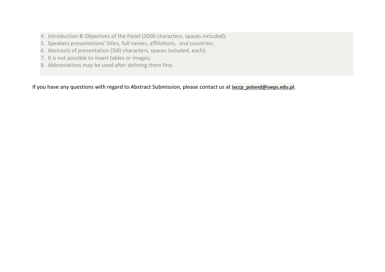- 4. Introduction & Objectives of the Panel (2000 characters, spaces included);
- 5. Speakers presentations' titles, full names, affiliations, and countries;
- 6. Abstracts of presentation (500 characters, spaces included, each);
- 7. It is not possible to insert tables or images;
- 8. Abbreviations may be used after defining them first.

If you have any questions with regard to Abstract Submission, please contact us at **[iaccp\\_poland@swps.edu.pl](mailto:iaccp_poland@swps.edu.pl)**.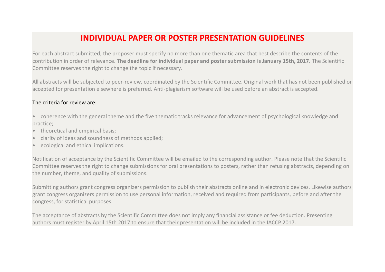## **INDIVIDUAL PAPER OR POSTER PRESENTATION GUIDELINES**

For each abstract submitted, the proposer must specify no more than one thematic area that best describe the contents of the contribution in order of relevance. **The deadline for individual paper and poster submission is January 15th, 2017.** The Scientific Committee reserves the right to change the topic if necessary.

All abstracts will be subjected to peer-review, coordinated by the Scientific Committee. Original work that has not been published or accepted for presentation elsewhere is preferred. Anti-plagiarism software will be used before an abstract is accepted.

## The criteria for review are:

- coherence with the general theme and the five thematic tracks relevance for advancement of psychological knowledge and practice;
- theoretical and empirical basis;
- clarity of ideas and soundness of methods applied;
- ecological and ethical implications.

Notification of acceptance by the Scientific Committee will be emailed to the corresponding author. Please note that the Scientific Committee reserves the right to change submissions for oral presentations to posters, rather than refusing abstracts, depending on the number, theme, and quality of submissions.

Submitting authors grant congress organizers permission to publish their abstracts online and in electronic devices. Likewise authors grant congress organizers permission to use personal information, received and required from participants, before and after the congress, for statistical purposes.

The acceptance of abstracts by the Scientific Committee does not imply any financial assistance or fee deduction. Presenting authors must register by April 15th 2017 to ensure that their presentation will be included in the IACCP 2017.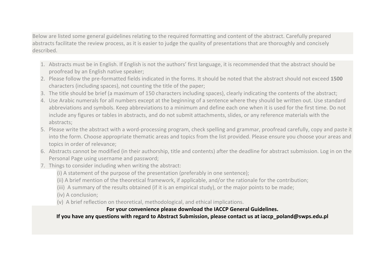Below are listed some general guidelines relating to the required formatting and content of the abstract. Carefully prepared abstracts facilitate the review process, as it is easier to judge the quality of presentations that are thoroughly and concisely described.

- 1. Abstracts must be in English. If English is not the authors' first language, it is recommended that the abstract should be proofread by an English native speaker;
- 2. Please follow the pre-formatted fields indicated in the forms. It should be noted that the abstract should not exceed **1500** characters (including spaces), not counting the title of the paper;
- 3. The title should be brief (a maximum of 150 characters including spaces), clearly indicating the contents of the abstract;
- 4. Use Arabic numerals for all numbers except at the beginning of a sentence where they should be written out. Use standard abbreviations and symbols. Keep abbreviations to a minimum and define each one when it is used for the first time. Do not include any figures or tables in abstracts, and do not submit attachments, slides, or any reference materials with the abstracts;
- 5. Please write the abstract with a word-processing program, check spelling and grammar, proofread carefully, copy and paste it into the form. Choose appropriate thematic areas and topics from the list provided. Please ensure you choose your areas and topics in order of relevance;
- 6. Abstracts cannot be modified (in their authorship, title and contents) after the deadline for abstract submission. Log in on the Personal Page using username and password;
- 7. Things to consider including when writing the abstract:
	- (i) A statement of the purpose of the presentation (preferably in one sentence);
	- (ii) A brief mention of the theoretical framework, if applicable, and/or the rationale for the contribution;
	- (iii) A summary of the results obtained (if it is an empirical study), or the major points to be made;
	- (iv) A conclusion;
	- (v) A brief reflection on theoretical, methodological, and ethical implications.

## **For your convenience please [download the IACCP](https://psychologycongress.eu/2017/wp-content/uploads/2016/05/ECP2017-Abstract-Submission-Guidelines.pdf) General Guidelines.**

**If you have any questions with regard to Abstract Submission, please contact us at iaccp\_poland@swps.edu.pl**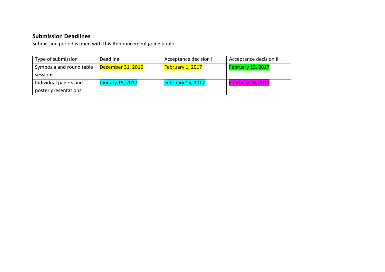## **Submission Deadlines**

Submission period is open with this Announcement going public.

| Type of submission       | Deadline                | Acceptance decision I | Acceptance decision II   |
|--------------------------|-------------------------|-----------------------|--------------------------|
| Symposia and round table | December 31, 2016       | February 1, 2017      | <b>February 15, 2017</b> |
| sessions                 |                         |                       |                          |
| Individual papers and    | <b>January 15, 2017</b> | February 15, 2017     | February 28, 2017        |
| poster presentations     |                         |                       |                          |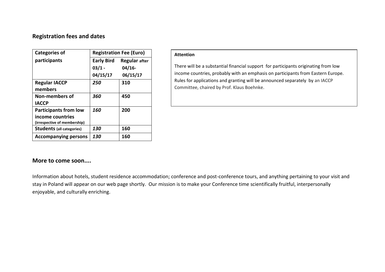## **Registration fees and dates**

| <b>Categories of</b>             | <b>Registration Fee (Euro)</b> |                      |
|----------------------------------|--------------------------------|----------------------|
| participants                     | <b>Early Bird</b>              | <b>Regular</b> after |
|                                  | $03/1 -$                       | $04/16-$             |
|                                  | 04/15/17                       | 06/15/17             |
| <b>Regular IACCP</b>             | 250                            | 310                  |
| members                          |                                |                      |
| Non-members of                   | 360                            | 450                  |
| <b>IACCP</b>                     |                                |                      |
| <b>Participants from low</b>     | 160                            | 200                  |
| income countries                 |                                |                      |
| (irrespective of membership)     |                                |                      |
| <b>Students</b> (all categories) | 130                            | 160                  |
| <b>Accompanying persons</b>      | 130                            | 160                  |

#### **Attention**

There will be a substantial financial support for participants originating from low income countries, probably with an emphasis on participants from Eastern Europe. Rules for applications and granting will be announced separately by an IACCP Committee, chaired by Prof. Klaus Boehnke.

## **More to come soon....**

Information about hotels, student residence accommodation; conference and post-conference tours, and anything pertaining to your visit and stay in Poland will appear on our web page shortly. Our mission is to make your Conference time scientifically fruitful, interpersonally enjoyable, and culturally enriching.